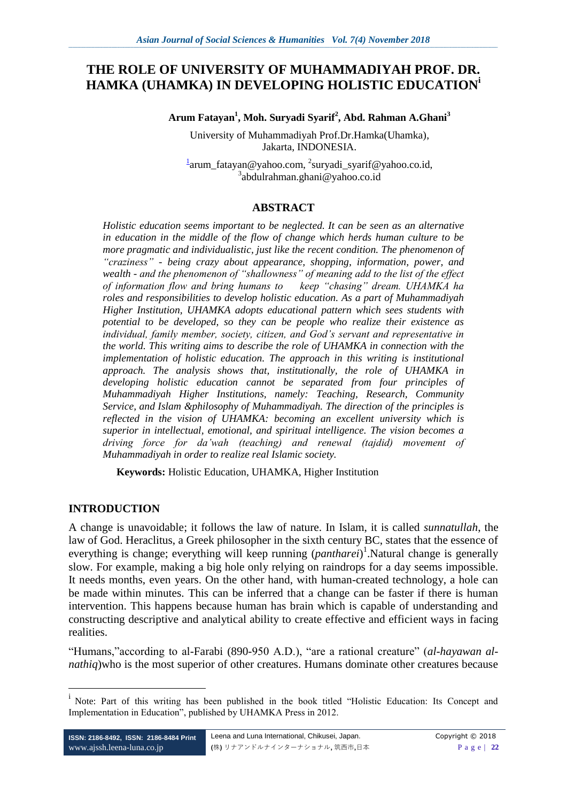# **THE ROLE OF UNIVERSITY OF MUHAMMADIYAH PROF. DR. HAMKA (UHAMKA) IN DEVELOPING HOLISTIC EDUCATION<sup>i</sup>**

**Arum Fatayan<sup>1</sup> , Moh. Suryadi Syarif<sup>2</sup> , Abd. Rahman A.Ghani<sup>3</sup>**

University of Muhammadiyah Prof.Dr.Hamka(Uhamka), Jakarta, INDONESIA.

<sup>[1](mailto:1abdulrahman.ghani@yahoo.co.id)</sup>arum\_fatayan@yahoo.com, <sup>2</sup>suryadi\_syarif@yahoo.co.id, 3 abdulrahman.ghani@yahoo.co.id

#### **ABSTRACT**

*Holistic education seems important to be neglected. It can be seen as an alternative in education in the middle of the flow of change which herds human culture to be more pragmatic and individualistic, just like the recent condition. The phenomenon of "craziness" - being crazy about appearance, shopping, information, power, and wealth - and the phenomenon of "shallowness" of meaning add to the list of the effect of information flow and bring humans to keep "chasing" dream. UHAMKA ha roles and responsibilities to develop holistic education. As a part of Muhammadiyah Higher Institution, UHAMKA adopts educational pattern which sees students with potential to be developed, so they can be people who realize their existence as individual, family member, society, citizen, and God's servant and representative in the world. This writing aims to describe the role of UHAMKA in connection with the implementation of holistic education. The approach in this writing is institutional approach. The analysis shows that, institutionally, the role of UHAMKA in developing holistic education cannot be separated from four principles of Muhammadiyah Higher Institutions, namely: Teaching, Research, Community Service, and Islam &philosophy of Muhammadiyah. The direction of the principles is reflected in the vision of UHAMKA: becoming an excellent university which is superior in intellectual, emotional, and spiritual intelligence. The vision becomes a driving force for da'wah (teaching) and renewal (tajdid) movement of Muhammadiyah in order to realize real Islamic society.*

**Keywords:** Holistic Education, UHAMKA, Higher Institution

### **INTRODUCTION**

A change is unavoidable; it follows the law of nature. In Islam, it is called *sunnatullah*, the law of God. Heraclitus, a Greek philosopher in the sixth century BC, states that the essence of everything is change; everything will keep running (*pantharei*)<sup>1</sup>. Natural change is generally slow. For example, making a big hole only relying on raindrops for a day seems impossible. It needs months, even years. On the other hand, with human-created technology, a hole can be made within minutes. This can be inferred that a change can be faster if there is human intervention. This happens because human has brain which is capable of understanding and constructing descriptive and analytical ability to create effective and efficient ways in facing realities.

"Humans,"according to al-Farabi (890-950 A.D.), "are a rational creature" (*al-hayawan alnathiq*)who is the most superior of other creatures. Humans dominate other creatures because

<u>.</u>

i Note: Part of this writing has been published in the book titled "Holistic Education: Its Concept and Implementation in Education", published by UHAMKA Press in 2012.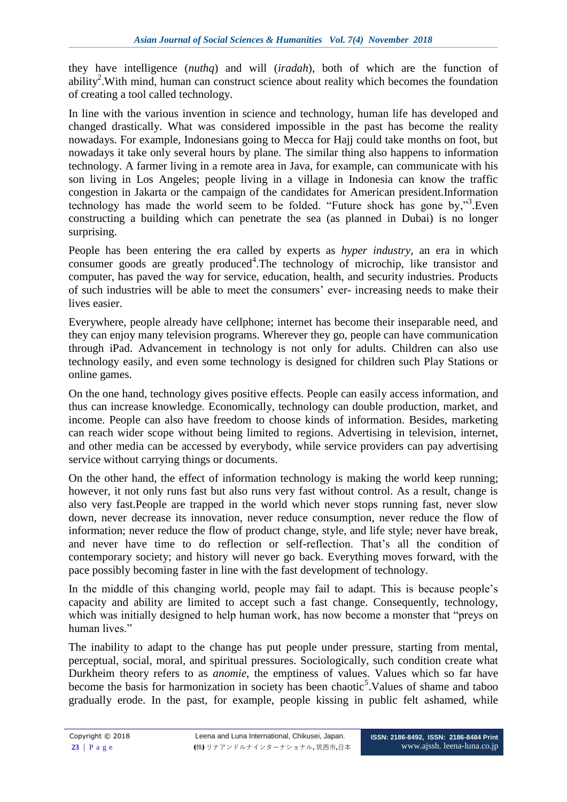they have intelligence (*nuthq*) and will (*iradah*), both of which are the function of ability<sup>2</sup>. With mind, human can construct science about reality which becomes the foundation of creating a tool called technology.

In line with the various invention in science and technology, human life has developed and changed drastically. What was considered impossible in the past has become the reality nowadays. For example, Indonesians going to Mecca for Hajj could take months on foot, but nowadays it take only several hours by plane. The similar thing also happens to information technology. A farmer living in a remote area in Java, for example, can communicate with his son living in Los Angeles; people living in a village in Indonesia can know the traffic congestion in Jakarta or the campaign of the candidates for American president.Information technology has made the world seem to be folded. "Future shock has gone by,"<sup>3</sup> .Even constructing a building which can penetrate the sea (as planned in Dubai) is no longer surprising.

People has been entering the era called by experts as *hyper industry*, an era in which consumer goods are greatly produced<sup>4</sup>. The technology of microchip, like transistor and computer, has paved the way for service, education, health, and security industries. Products of such industries will be able to meet the consumers' ever- increasing needs to make their lives easier.

Everywhere, people already have cellphone; internet has become their inseparable need, and they can enjoy many television programs. Wherever they go, people can have communication through iPad. Advancement in technology is not only for adults. Children can also use technology easily, and even some technology is designed for children such Play Stations or online games.

On the one hand, technology gives positive effects. People can easily access information, and thus can increase knowledge. Economically, technology can double production, market, and income. People can also have freedom to choose kinds of information. Besides, marketing can reach wider scope without being limited to regions. Advertising in television, internet, and other media can be accessed by everybody, while service providers can pay advertising service without carrying things or documents.

On the other hand, the effect of information technology is making the world keep running; however, it not only runs fast but also runs very fast without control. As a result, change is also very fast.People are trapped in the world which never stops running fast, never slow down, never decrease its innovation, never reduce consumption, never reduce the flow of information; never reduce the flow of product change, style, and life style; never have break, and never have time to do reflection or self-reflection. That's all the condition of contemporary society; and history will never go back. Everything moves forward, with the pace possibly becoming faster in line with the fast development of technology.

In the middle of this changing world, people may fail to adapt. This is because people's capacity and ability are limited to accept such a fast change. Consequently, technology, which was initially designed to help human work, has now become a monster that "preys on human lives."

The inability to adapt to the change has put people under pressure, starting from mental, perceptual, social, moral, and spiritual pressures. Sociologically, such condition create what Durkheim theory refers to as *anomie*, the emptiness of values. Values which so far have become the basis for harmonization in society has been chaotic<sup>5</sup>. Values of shame and taboo gradually erode. In the past, for example, people kissing in public felt ashamed, while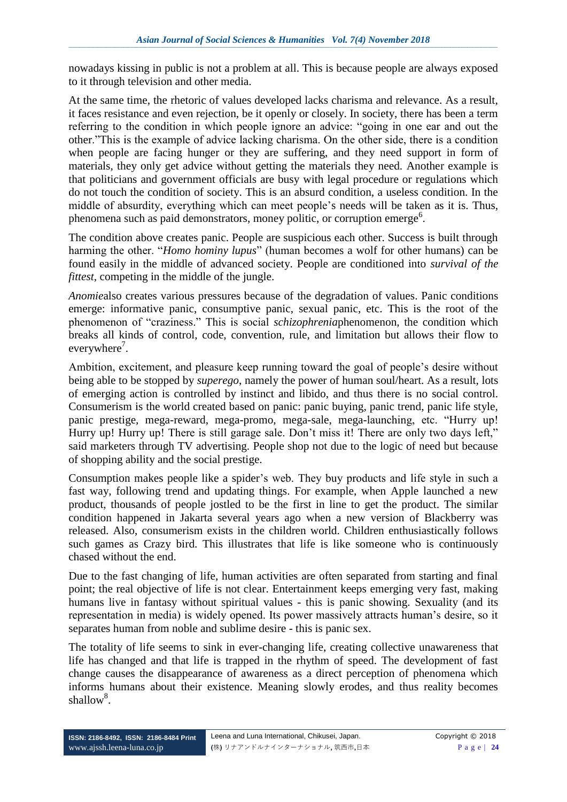nowadays kissing in public is not a problem at all. This is because people are always exposed to it through television and other media.

At the same time, the rhetoric of values developed lacks charisma and relevance. As a result, it faces resistance and even rejection, be it openly or closely. In society, there has been a term referring to the condition in which people ignore an advice: "going in one ear and out the other."This is the example of advice lacking charisma. On the other side, there is a condition when people are facing hunger or they are suffering, and they need support in form of materials, they only get advice without getting the materials they need. Another example is that politicians and government officials are busy with legal procedure or regulations which do not touch the condition of society. This is an absurd condition, a useless condition. In the middle of absurdity, everything which can meet people's needs will be taken as it is. Thus, phenomena such as paid demonstrators, money politic, or corruption emerge<sup>6</sup>.

The condition above creates panic. People are suspicious each other. Success is built through harming the other. "*Homo hominy lupus*" (human becomes a wolf for other humans) can be found easily in the middle of advanced society. People are conditioned into *survival of the fittest*, competing in the middle of the jungle.

*Anomie*also creates various pressures because of the degradation of values. Panic conditions emerge: informative panic, consumptive panic, sexual panic, etc. This is the root of the phenomenon of "craziness." This is social *schizophrenia*phenomenon, the condition which breaks all kinds of control, code, convention, rule, and limitation but allows their flow to everywhere<sup>7</sup>.

Ambition, excitement, and pleasure keep running toward the goal of people's desire without being able to be stopped by *superego*, namely the power of human soul/heart. As a result, lots of emerging action is controlled by instinct and libido, and thus there is no social control. Consumerism is the world created based on panic: panic buying, panic trend, panic life style, panic prestige, mega-reward, mega-promo, mega-sale, mega-launching, etc. "Hurry up! Hurry up! Hurry up! There is still garage sale. Don't miss it! There are only two days left," said marketers through TV advertising. People shop not due to the logic of need but because of shopping ability and the social prestige.

Consumption makes people like a spider's web. They buy products and life style in such a fast way, following trend and updating things. For example, when Apple launched a new product, thousands of people jostled to be the first in line to get the product. The similar condition happened in Jakarta several years ago when a new version of Blackberry was released. Also, consumerism exists in the children world. Children enthusiastically follows such games as Crazy bird. This illustrates that life is like someone who is continuously chased without the end.

Due to the fast changing of life, human activities are often separated from starting and final point; the real objective of life is not clear. Entertainment keeps emerging very fast, making humans live in fantasy without spiritual values - this is panic showing. Sexuality (and its representation in media) is widely opened. Its power massively attracts human's desire, so it separates human from noble and sublime desire - this is panic sex.

The totality of life seems to sink in ever-changing life, creating collective unawareness that life has changed and that life is trapped in the rhythm of speed. The development of fast change causes the disappearance of awareness as a direct perception of phenomena which informs humans about their existence. Meaning slowly erodes, and thus reality becomes shallow<sup>8</sup>.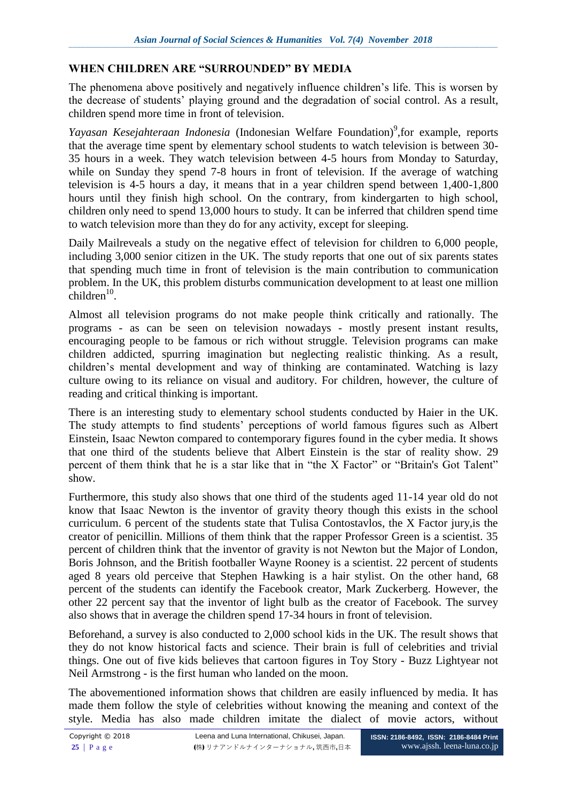#### **WHEN CHILDREN ARE "SURROUNDED" BY MEDIA**

The phenomena above positively and negatively influence children's life. This is worsen by the decrease of students' playing ground and the degradation of social control. As a result, children spend more time in front of television.

*Yayasan Kesejahteraan Indonesia* (Indonesian Welfare Foundation)<sup>9</sup>, for example, reports that the average time spent by elementary school students to watch television is between 30- 35 hours in a week. They watch television between 4-5 hours from Monday to Saturday, while on Sunday they spend 7-8 hours in front of television. If the average of watching television is 4-5 hours a day, it means that in a year children spend between 1,400-1,800 hours until they finish high school. On the contrary, from kindergarten to high school, children only need to spend 13,000 hours to study. It can be inferred that children spend time to watch television more than they do for any activity, except for sleeping.

Daily Mailreveals a study on the negative effect of television for children to 6,000 people, including 3,000 senior citizen in the UK. The study reports that one out of six parents states that spending much time in front of television is the main contribution to communication problem. In the UK, this problem disturbs communication development to at least one million  $children<sup>10</sup>$ .

Almost all television programs do not make people think critically and rationally. The programs - as can be seen on television nowadays - mostly present instant results, encouraging people to be famous or rich without struggle. Television programs can make children addicted, spurring imagination but neglecting realistic thinking. As a result, children's mental development and way of thinking are contaminated. Watching is lazy culture owing to its reliance on visual and auditory. For children, however, the culture of reading and critical thinking is important.

There is an interesting study to elementary school students conducted by Haier in the UK. The study attempts to find students' perceptions of world famous figures such as Albert Einstein, Isaac Newton compared to contemporary figures found in the cyber media. It shows that one third of the students believe that Albert Einstein is the star of reality show. 29 percent of them think that he is a star like that in "the X Factor" or "Britain's Got Talent" show.

Furthermore, this study also shows that one third of the students aged 11-14 year old do not know that Isaac Newton is the inventor of gravity theory though this exists in the school curriculum. 6 percent of the students state that Tulisa Contostavlos, the X Factor jury,is the creator of penicillin. Millions of them think that the rapper Professor Green is a scientist. 35 percent of children think that the inventor of gravity is not Newton but the Major of London, Boris Johnson, and the British footballer Wayne Rooney is a scientist. 22 percent of students aged 8 years old perceive that Stephen Hawking is a hair stylist. On the other hand, 68 percent of the students can identify the Facebook creator, Mark Zuckerberg. However, the other 22 percent say that the inventor of light bulb as the creator of Facebook. The survey also shows that in average the children spend 17-34 hours in front of television.

Beforehand, a survey is also conducted to 2,000 school kids in the UK. The result shows that they do not know historical facts and science. Their brain is full of celebrities and trivial things. One out of five kids believes that cartoon figures in Toy Story - Buzz Lightyear not Neil Armstrong - is the first human who landed on the moon.

The abovementioned information shows that children are easily influenced by media. It has made them follow the style of celebrities without knowing the meaning and context of the style. Media has also made children imitate the dialect of movie actors, without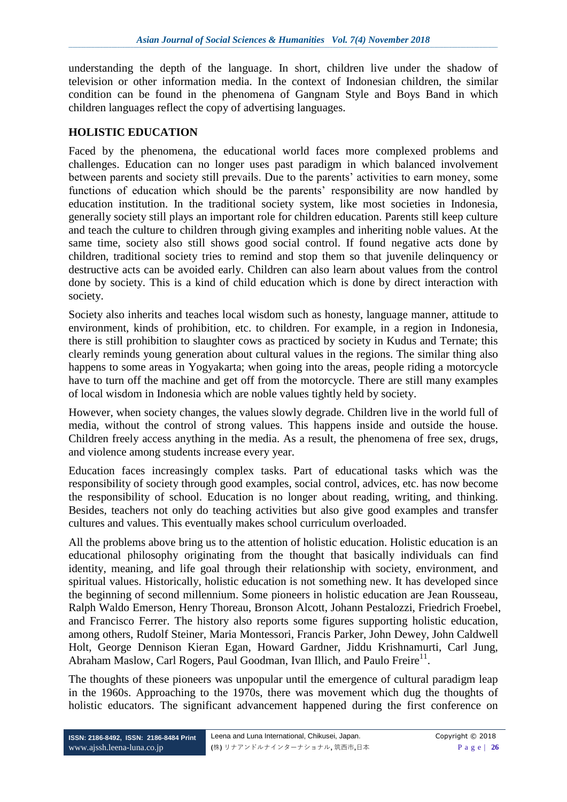understanding the depth of the language. In short, children live under the shadow of television or other information media. In the context of Indonesian children, the similar condition can be found in the phenomena of Gangnam Style and Boys Band in which children languages reflect the copy of advertising languages.

#### **HOLISTIC EDUCATION**

Faced by the phenomena, the educational world faces more complexed problems and challenges. Education can no longer uses past paradigm in which balanced involvement between parents and society still prevails. Due to the parents' activities to earn money, some functions of education which should be the parents' responsibility are now handled by education institution. In the traditional society system, like most societies in Indonesia, generally society still plays an important role for children education. Parents still keep culture and teach the culture to children through giving examples and inheriting noble values. At the same time, society also still shows good social control. If found negative acts done by children, traditional society tries to remind and stop them so that juvenile delinquency or destructive acts can be avoided early. Children can also learn about values from the control done by society. This is a kind of child education which is done by direct interaction with society.

Society also inherits and teaches local wisdom such as honesty, language manner, attitude to environment, kinds of prohibition, etc. to children. For example, in a region in Indonesia, there is still prohibition to slaughter cows as practiced by society in Kudus and Ternate; this clearly reminds young generation about cultural values in the regions. The similar thing also happens to some areas in Yogyakarta; when going into the areas, people riding a motorcycle have to turn off the machine and get off from the motorcycle. There are still many examples of local wisdom in Indonesia which are noble values tightly held by society.

However, when society changes, the values slowly degrade. Children live in the world full of media, without the control of strong values. This happens inside and outside the house. Children freely access anything in the media. As a result, the phenomena of free sex, drugs, and violence among students increase every year.

Education faces increasingly complex tasks. Part of educational tasks which was the responsibility of society through good examples, social control, advices, etc. has now become the responsibility of school. Education is no longer about reading, writing, and thinking. Besides, teachers not only do teaching activities but also give good examples and transfer cultures and values. This eventually makes school curriculum overloaded.

All the problems above bring us to the attention of holistic education. Holistic education is an educational philosophy originating from the thought that basically individuals can find identity, meaning, and life goal through their relationship with society, environment, and spiritual values. Historically, holistic education is not something new. It has developed since the beginning of second millennium. Some pioneers in holistic education are Jean Rousseau, Ralph Waldo Emerson, Henry Thoreau, Bronson Alcott, Johann Pestalozzi, Friedrich Froebel, and Francisco Ferrer. The history also reports some figures supporting holistic education, among others, Rudolf Steiner, Maria Montessori, Francis Parker, John Dewey, John Caldwell Holt, George Dennison Kieran Egan, Howard Gardner, Jiddu Krishnamurti, Carl Jung, Abraham Maslow, Carl Rogers, Paul Goodman, Ivan Illich, and Paulo Freire<sup>11</sup>.

The thoughts of these pioneers was unpopular until the emergence of cultural paradigm leap in the 1960s. Approaching to the 1970s, there was movement which dug the thoughts of holistic educators. The significant advancement happened during the first conference on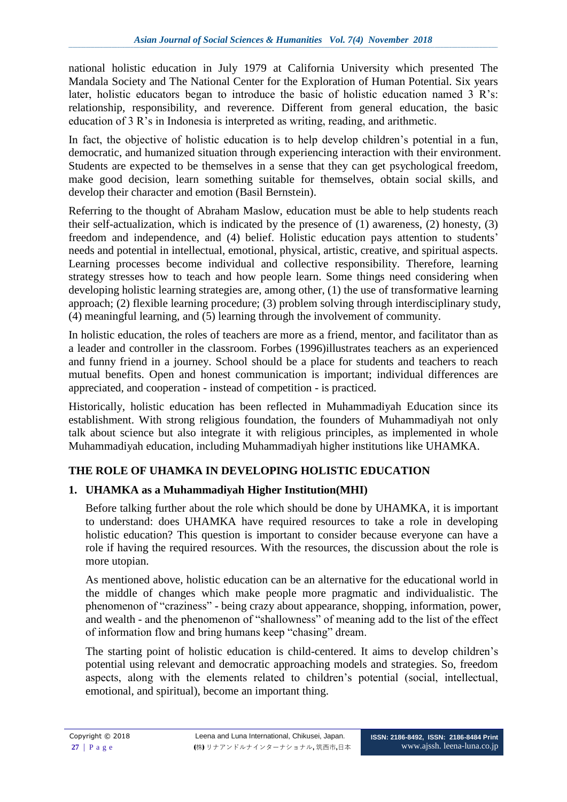national holistic education in July 1979 at California University which presented The Mandala Society and The National Center for the Exploration of Human Potential. Six years later, holistic educators began to introduce the basic of holistic education named 3 R's: relationship, responsibility, and reverence. Different from general education, the basic education of 3 R's in Indonesia is interpreted as writing, reading, and arithmetic.

In fact, the objective of holistic education is to help develop children's potential in a fun, democratic, and humanized situation through experiencing interaction with their environment. Students are expected to be themselves in a sense that they can get psychological freedom, make good decision, learn something suitable for themselves, obtain social skills, and develop their character and emotion (Basil Bernstein).

Referring to the thought of Abraham Maslow, education must be able to help students reach their self-actualization, which is indicated by the presence of (1) awareness, (2) honesty, (3) freedom and independence, and (4) belief. Holistic education pays attention to students' needs and potential in intellectual, emotional, physical, artistic, creative, and spiritual aspects. Learning processes become individual and collective responsibility. Therefore, learning strategy stresses how to teach and how people learn. Some things need considering when developing holistic learning strategies are, among other, (1) the use of transformative learning approach; (2) flexible learning procedure; (3) problem solving through interdisciplinary study, (4) meaningful learning, and (5) learning through the involvement of community.

In holistic education, the roles of teachers are more as a friend, mentor, and facilitator than as a leader and controller in the classroom. Forbes (1996)illustrates teachers as an experienced and funny friend in a journey. School should be a place for students and teachers to reach mutual benefits. Open and honest communication is important; individual differences are appreciated, and cooperation - instead of competition - is practiced.

Historically, holistic education has been reflected in Muhammadiyah Education since its establishment. With strong religious foundation, the founders of Muhammadiyah not only talk about science but also integrate it with religious principles, as implemented in whole Muhammadiyah education, including Muhammadiyah higher institutions like UHAMKA.

# **THE ROLE OF UHAMKA IN DEVELOPING HOLISTIC EDUCATION**

# **1. UHAMKA as a Muhammadiyah Higher Institution(MHI)**

Before talking further about the role which should be done by UHAMKA, it is important to understand: does UHAMKA have required resources to take a role in developing holistic education? This question is important to consider because everyone can have a role if having the required resources. With the resources, the discussion about the role is more utopian.

As mentioned above, holistic education can be an alternative for the educational world in the middle of changes which make people more pragmatic and individualistic. The phenomenon of "craziness" - being crazy about appearance, shopping, information, power, and wealth - and the phenomenon of "shallowness" of meaning add to the list of the effect of information flow and bring humans keep "chasing" dream.

The starting point of holistic education is child-centered. It aims to develop children's potential using relevant and democratic approaching models and strategies. So, freedom aspects, along with the elements related to children's potential (social, intellectual, emotional, and spiritual), become an important thing.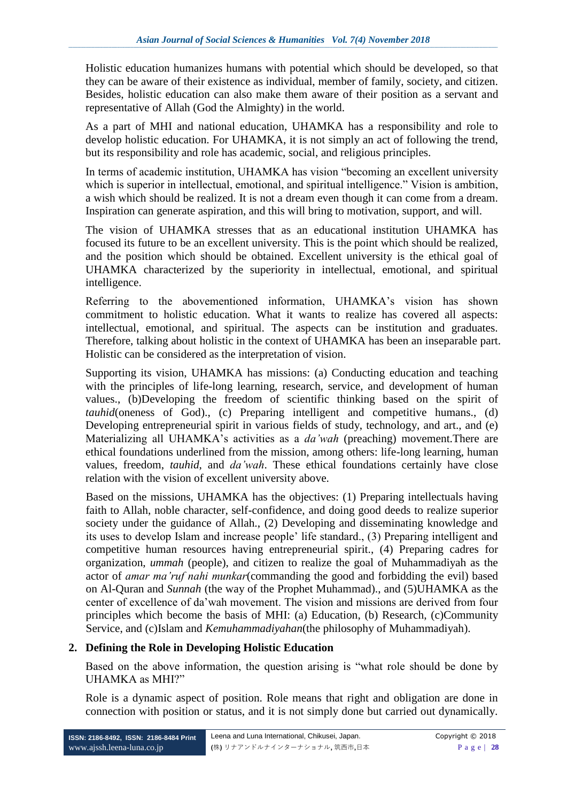Holistic education humanizes humans with potential which should be developed, so that they can be aware of their existence as individual, member of family, society, and citizen. Besides, holistic education can also make them aware of their position as a servant and representative of Allah (God the Almighty) in the world.

As a part of MHI and national education, UHAMKA has a responsibility and role to develop holistic education. For UHAMKA, it is not simply an act of following the trend, but its responsibility and role has academic, social, and religious principles.

In terms of academic institution, UHAMKA has vision "becoming an excellent university which is superior in intellectual, emotional, and spiritual intelligence." Vision is ambition, a wish which should be realized. It is not a dream even though it can come from a dream. Inspiration can generate aspiration, and this will bring to motivation, support, and will.

The vision of UHAMKA stresses that as an educational institution UHAMKA has focused its future to be an excellent university. This is the point which should be realized, and the position which should be obtained. Excellent university is the ethical goal of UHAMKA characterized by the superiority in intellectual, emotional, and spiritual intelligence.

Referring to the abovementioned information, UHAMKA's vision has shown commitment to holistic education. What it wants to realize has covered all aspects: intellectual, emotional, and spiritual. The aspects can be institution and graduates. Therefore, talking about holistic in the context of UHAMKA has been an inseparable part. Holistic can be considered as the interpretation of vision.

Supporting its vision, UHAMKA has missions: (a) Conducting education and teaching with the principles of life-long learning, research, service, and development of human values., (b)Developing the freedom of scientific thinking based on the spirit of *tauhid*(oneness of God)., (c) Preparing intelligent and competitive humans., (d) Developing entrepreneurial spirit in various fields of study, technology, and art., and (e) Materializing all UHAMKA's activities as a *da'wah* (preaching) movement.There are ethical foundations underlined from the mission, among others: life-long learning, human values, freedom, *tauhid*, and *da'wah*. These ethical foundations certainly have close relation with the vision of excellent university above.

Based on the missions, UHAMKA has the objectives: (1) Preparing intellectuals having faith to Allah, noble character, self-confidence, and doing good deeds to realize superior society under the guidance of Allah., (2) Developing and disseminating knowledge and its uses to develop Islam and increase people' life standard., (3) Preparing intelligent and competitive human resources having entrepreneurial spirit., (4) Preparing cadres for organization, *ummah* (people), and citizen to realize the goal of Muhammadiyah as the actor of *amar ma'ruf nahi munkar*(commanding the good and forbidding the evil) based on Al-Quran and *Sunnah* (the way of the Prophet Muhammad)., and (5)UHAMKA as the center of excellence of da'wah movement. The vision and missions are derived from four principles which become the basis of MHI: (a) Education, (b) Research, (c)Community Service, and (c)Islam and *Kemuhammadiyahan*(the philosophy of Muhammadiyah).

### **2. Defining the Role in Developing Holistic Education**

Based on the above information, the question arising is "what role should be done by UHAMKA as MHI?"

Role is a dynamic aspect of position. Role means that right and obligation are done in connection with position or status, and it is not simply done but carried out dynamically.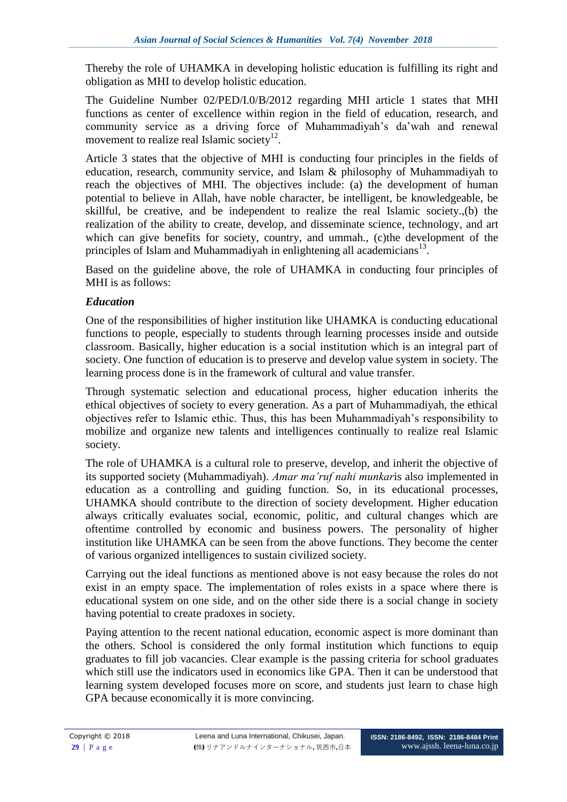Thereby the role of UHAMKA in developing holistic education is fulfilling its right and obligation as MHI to develop holistic education.

The Guideline Number 02/PED/I.0/B/2012 regarding MHI article 1 states that MHI functions as center of excellence within region in the field of education, research, and community service as a driving force of Muhammadiyah's da'wah and renewal movement to realize real Islamic society $12$ .

Article 3 states that the objective of MHI is conducting four principles in the fields of education, research, community service, and Islam & philosophy of Muhammadiyah to reach the objectives of MHI. The objectives include: (a) the development of human potential to believe in Allah, have noble character, be intelligent, be knowledgeable, be skillful, be creative, and be independent to realize the real Islamic society.,(b) the realization of the ability to create, develop, and disseminate science, technology, and art which can give benefits for society, country, and ummah., (c) the development of the principles of Islam and Muhammadiyah in enlightening all academicians<sup>13</sup>.

Based on the guideline above, the role of UHAMKA in conducting four principles of MHI is as follows:

## *Education*

One of the responsibilities of higher institution like UHAMKA is conducting educational functions to people, especially to students through learning processes inside and outside classroom. Basically, higher education is a social institution which is an integral part of society. One function of education is to preserve and develop value system in society. The learning process done is in the framework of cultural and value transfer.

Through systematic selection and educational process, higher education inherits the ethical objectives of society to every generation. As a part of Muhammadiyah, the ethical objectives refer to Islamic ethic. Thus, this has been Muhammadiyah's responsibility to mobilize and organize new talents and intelligences continually to realize real Islamic society.

The role of UHAMKA is a cultural role to preserve, develop, and inherit the objective of its supported society (Muhammadiyah). *Amar ma'ruf nahi munkar*is also implemented in education as a controlling and guiding function. So, in its educational processes, UHAMKA should contribute to the direction of society development. Higher education always critically evaluates social, economic, politic, and cultural changes which are oftentime controlled by economic and business powers. The personality of higher institution like UHAMKA can be seen from the above functions. They become the center of various organized intelligences to sustain civilized society.

Carrying out the ideal functions as mentioned above is not easy because the roles do not exist in an empty space. The implementation of roles exists in a space where there is educational system on one side, and on the other side there is a social change in society having potential to create pradoxes in society.

Paying attention to the recent national education, economic aspect is more dominant than the others. School is considered the only formal institution which functions to equip graduates to fill job vacancies. Clear example is the passing criteria for school graduates which still use the indicators used in economics like GPA. Then it can be understood that learning system developed focuses more on score, and students just learn to chase high GPA because economically it is more convincing.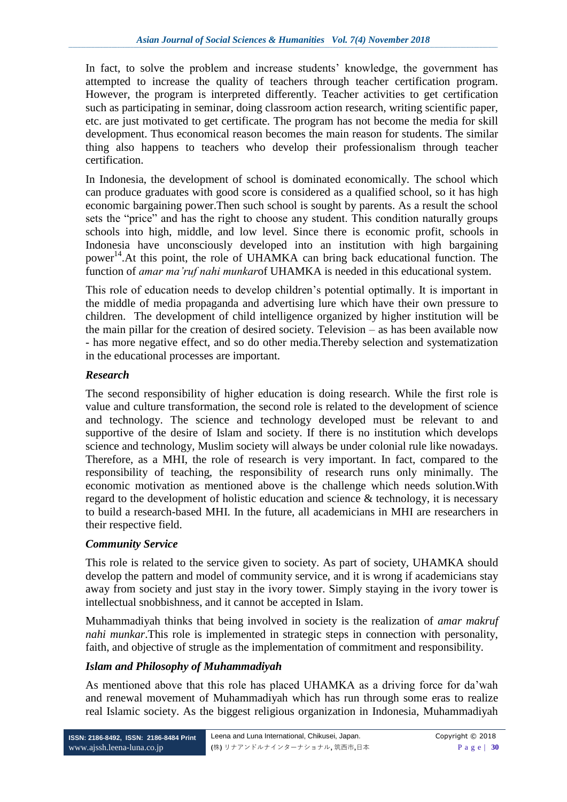In fact, to solve the problem and increase students' knowledge, the government has attempted to increase the quality of teachers through teacher certification program. However, the program is interpreted differently. Teacher activities to get certification such as participating in seminar, doing classroom action research, writing scientific paper, etc. are just motivated to get certificate. The program has not become the media for skill development. Thus economical reason becomes the main reason for students. The similar thing also happens to teachers who develop their professionalism through teacher certification.

In Indonesia, the development of school is dominated economically. The school which can produce graduates with good score is considered as a qualified school, so it has high economic bargaining power.Then such school is sought by parents. As a result the school sets the "price" and has the right to choose any student. This condition naturally groups schools into high, middle, and low level. Since there is economic profit, schools in Indonesia have unconsciously developed into an institution with high bargaining power <sup>14</sup>.At this point, the role of UHAMKA can bring back educational function. The function of *amar ma'ruf nahi munkar*of UHAMKA is needed in this educational system.

This role of education needs to develop children's potential optimally. It is important in the middle of media propaganda and advertising lure which have their own pressure to children. The development of child intelligence organized by higher institution will be the main pillar for the creation of desired society. Television – as has been available now - has more negative effect, and so do other media.Thereby selection and systematization in the educational processes are important.

#### *Research*

The second responsibility of higher education is doing research. While the first role is value and culture transformation, the second role is related to the development of science and technology. The science and technology developed must be relevant to and supportive of the desire of Islam and society. If there is no institution which develops science and technology, Muslim society will always be under colonial rule like nowadays. Therefore, as a MHI, the role of research is very important. In fact, compared to the responsibility of teaching, the responsibility of research runs only minimally. The economic motivation as mentioned above is the challenge which needs solution.With regard to the development of holistic education and science & technology, it is necessary to build a research-based MHI. In the future, all academicians in MHI are researchers in their respective field.

### *Community Service*

This role is related to the service given to society. As part of society, UHAMKA should develop the pattern and model of community service, and it is wrong if academicians stay away from society and just stay in the ivory tower. Simply staying in the ivory tower is intellectual snobbishness, and it cannot be accepted in Islam.

Muhammadiyah thinks that being involved in society is the realization of *amar makruf nahi munkar*.This role is implemented in strategic steps in connection with personality, faith, and objective of strugle as the implementation of commitment and responsibility.

### *Islam and Philosophy of Muhammadiyah*

As mentioned above that this role has placed UHAMKA as a driving force for da'wah and renewal movement of Muhammadiyah which has run through some eras to realize real Islamic society. As the biggest religious organization in Indonesia, Muhammadiyah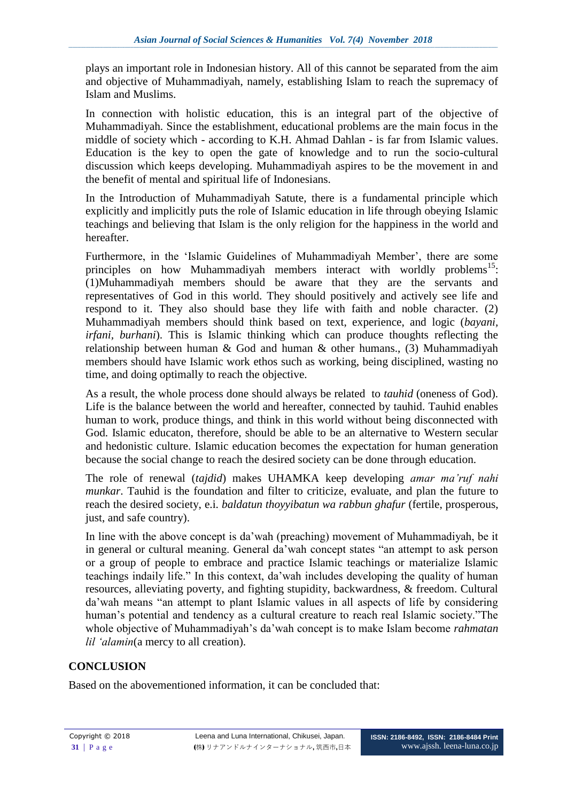plays an important role in Indonesian history. All of this cannot be separated from the aim and objective of Muhammadiyah, namely, establishing Islam to reach the supremacy of Islam and Muslims.

In connection with holistic education, this is an integral part of the objective of Muhammadiyah. Since the establishment, educational problems are the main focus in the middle of society which - according to K.H. Ahmad Dahlan - is far from Islamic values. Education is the key to open the gate of knowledge and to run the socio-cultural discussion which keeps developing. Muhammadiyah aspires to be the movement in and the benefit of mental and spiritual life of Indonesians.

In the Introduction of Muhammadiyah Satute, there is a fundamental principle which explicitly and implicitly puts the role of Islamic education in life through obeying Islamic teachings and believing that Islam is the only religion for the happiness in the world and hereafter.

Furthermore, in the 'Islamic Guidelines of Muhammadiyah Member', there are some principles on how Muhammadiyah members interact with worldly problems<sup>15</sup>: (1)Muhammadiyah members should be aware that they are the servants and representatives of God in this world. They should positively and actively see life and respond to it. They also should base they life with faith and noble character. (2) Muhammadiyah members should think based on text, experience, and logic (*bayani, irfani, burhani*). This is Islamic thinking which can produce thoughts reflecting the relationship between human & God and human & other humans., (3) Muhammadiyah members should have Islamic work ethos such as working, being disciplined, wasting no time, and doing optimally to reach the objective.

As a result, the whole process done should always be related to *tauhid* (oneness of God). Life is the balance between the world and hereafter, connected by tauhid. Tauhid enables human to work, produce things, and think in this world without being disconnected with God. Islamic educaton, therefore, should be able to be an alternative to Western secular and hedonistic culture. Islamic education becomes the expectation for human generation because the social change to reach the desired society can be done through education.

The role of renewal (*tajdid*) makes UHAMKA keep developing *amar ma'ruf nahi munkar*. Tauhid is the foundation and filter to criticize, evaluate, and plan the future to reach the desired society, e.i. *baldatun thoyyibatun wa rabbun ghafur* (fertile, prosperous, just, and safe country).

In line with the above concept is da'wah (preaching) movement of Muhammadiyah, be it in general or cultural meaning. General da'wah concept states "an attempt to ask person or a group of people to embrace and practice Islamic teachings or materialize Islamic teachings indaily life." In this context, da'wah includes developing the quality of human resources, alleviating poverty, and fighting stupidity, backwardness, & freedom. Cultural da'wah means "an attempt to plant Islamic values in all aspects of life by considering human's potential and tendency as a cultural creature to reach real Islamic society."The whole objective of Muhammadiyah's da'wah concept is to make Islam become *rahmatan lil 'alamin*(a mercy to all creation).

# **CONCLUSION**

Based on the abovementioned information, it can be concluded that: